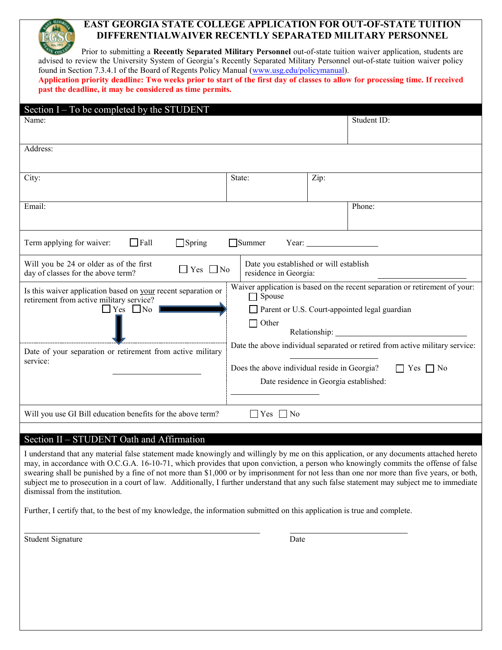# **EAST GEORGIA STATE COLLEGE APPLICATION FOR OUT-OF-STATE TUITION DIFFERENTIALWAIVER RECENTLY SEPARATED MILITARY PERSONNEL**

| <b>CONTRACTOR</b><br>Prior to submitting a Recently Separated Military Personnel out-of-state tuition waiver application, students are |
|----------------------------------------------------------------------------------------------------------------------------------------|
| advised to review the University System of Georgia's Recently Separated Military Personnel out-of-state tuition waiver policy          |
|                                                                                                                                        |
| found in Section 7.3.4.1 of the Board of Regents Policy Manual (www.usg.edu/policymanual).                                             |
| Application priority deadline: Two weeks prior to start of the first day of classes to allow for processing time. If received          |
| past the deadline, it may be considered as time permits.                                                                               |
|                                                                                                                                        |
| estion I To be completed by the STIIDENT                                                                                               |

| Section I – To be completed by the STUDENT                                                                                        |                                                                 |                                                                            |                                                                                             |
|-----------------------------------------------------------------------------------------------------------------------------------|-----------------------------------------------------------------|----------------------------------------------------------------------------|---------------------------------------------------------------------------------------------|
| Name:                                                                                                                             |                                                                 |                                                                            | Student ID:                                                                                 |
| Address:                                                                                                                          |                                                                 |                                                                            |                                                                                             |
| City:                                                                                                                             | State:                                                          | Zip:                                                                       |                                                                                             |
| Email:                                                                                                                            |                                                                 | Phone:                                                                     |                                                                                             |
| Term applying for waiver:<br>$\Box$ Fall<br>$\Box$ Spring                                                                         | <b>Summer</b>                                                   | Year:                                                                      |                                                                                             |
| Will you be 24 or older as of the first<br>Yes $\Box$ No<br>day of classes for the above term?                                    | Date you established or will establish<br>residence in Georgia: |                                                                            |                                                                                             |
| Is this waiver application based on your recent separation or<br>retirement from active military service?<br>$\Box$ Yes $\Box$ No | Spouse<br>$\Box$ Other                                          | $\Box$ Parent or U.S. Court-appointed legal guardian<br>Relationship: 2000 | Waiver application is based on the recent separation or retirement of your:                 |
| Date of your separation or retirement from active military<br>service:                                                            | Does the above individual reside in Georgia?                    | Date residence in Georgia established:                                     | Date the above individual separated or retired from active military service:<br>$Yes \t No$ |
| Will you use GI Bill education benefits for the above term?                                                                       | $Yes \Box No$                                                   |                                                                            |                                                                                             |

### Section II – STUDENT Oath and Affirmation

I understand that any material false statement made knowingly and willingly by me on this application, or any documents attached hereto may, in accordance with O.C.G.A. 16-10-71, which provides that upon conviction, a person who knowingly commits the offense of false swearing shall be punished by a fine of not more than \$1,000 or by imprisonment for not less than one nor more than five years, or both, subject me to prosecution in a court of law. Additionally, I further understand that any such false statement may subject me to immediate dismissal from the institution.

Further, I certify that, to the best of my knowledge, the information submitted on this application is true and complete.

Student Signature Date